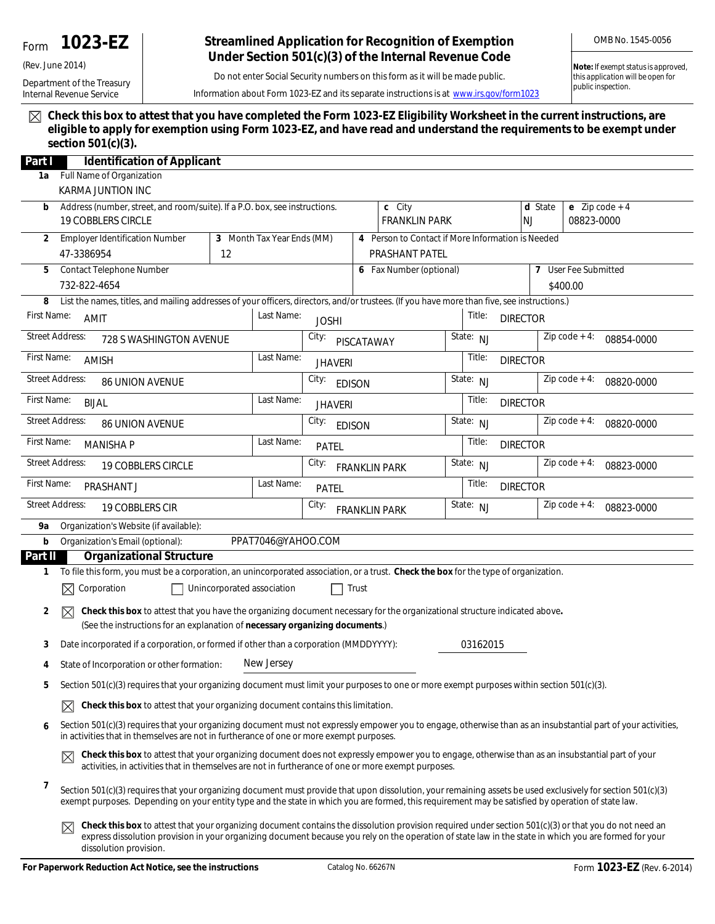# Form **1023-EZ**

Department of the Treasury Internal Revenue Service

(Rev. June 2014)

# **Streamlined Application for Recognition of Exemption Under Section 501(c)(3) of the Internal Revenue Code**

OMB No. 1545-0056

Do not enter Social Security numbers on this form as it will be made public.

**Note:** *If exempt status is approved, this application will be open for public inspection.*

Information about Form 1023-EZ and its separate instructions is at *www.irs.gov/form1023*

**Check this box to attest that you have completed the Form 1023-EZ Eligibility Worksheet in the current instructions, are eligible to apply for exemption using Form 1023-EZ, and have read and understand the requirements to be exempt under section 501(c)(3).**

| Part I                                              | <b>Identification of Applicant</b>                                                                                                                                                                                                                                                                                                        |  |                               |                                                   |                |                                |                           |                           |                                |                               |  |
|-----------------------------------------------------|-------------------------------------------------------------------------------------------------------------------------------------------------------------------------------------------------------------------------------------------------------------------------------------------------------------------------------------------|--|-------------------------------|---------------------------------------------------|----------------|--------------------------------|---------------------------|---------------------------|--------------------------------|-------------------------------|--|
| 1a                                                  | Full Name of Organization                                                                                                                                                                                                                                                                                                                 |  |                               |                                                   |                |                                |                           |                           |                                |                               |  |
|                                                     | KARMA JUNTION INC                                                                                                                                                                                                                                                                                                                         |  |                               |                                                   |                |                                |                           |                           |                                |                               |  |
|                                                     | Address (number, street, and room/suite). If a P.O. box, see instructions.<br>b<br><b>19 COBBLERS CIRCLE</b>                                                                                                                                                                                                                              |  |                               |                                                   |                | c City<br><b>FRANKLIN PARK</b> |                           | d State<br><b>NJ</b>      | e $Zip code + 4$<br>08823-0000 |                               |  |
| 2                                                   | <b>Employer Identification Number</b><br>3 Month Tax Year Ends (MM)                                                                                                                                                                                                                                                                       |  |                               | 4 Person to Contact if More Information is Needed |                |                                |                           |                           |                                |                               |  |
|                                                     | 47-3386954<br>12                                                                                                                                                                                                                                                                                                                          |  |                               |                                                   | PRASHANT PATEL |                                |                           |                           |                                |                               |  |
| Contact Telephone Number<br>5                       |                                                                                                                                                                                                                                                                                                                                           |  |                               | 6 Fax Number (optional)                           |                |                                |                           | 7                         | User Fee Submitted             |                               |  |
|                                                     | 732-822-4654                                                                                                                                                                                                                                                                                                                              |  |                               |                                                   |                |                                |                           |                           |                                | \$400.00                      |  |
| 8                                                   | List the names, titles, and mailing addresses of your officers, directors, and/or trustees. (If you have more than five, see instructions.)                                                                                                                                                                                               |  |                               |                                                   |                |                                |                           |                           |                                |                               |  |
| First Name:                                         | <b>AMIT</b>                                                                                                                                                                                                                                                                                                                               |  | Last Name:                    | <b>JOSHI</b>                                      |                |                                |                           | Title:                    | <b>DIRECTOR</b>                |                               |  |
| <b>Street Address:</b><br>728 S WASHINGTON AVENUE   |                                                                                                                                                                                                                                                                                                                                           |  |                               | City:<br>PISCATAWAY                               |                |                                |                           | State: NJ                 |                                | Zip code $+4$ :<br>08854-0000 |  |
| First Name:<br>Last Name:<br><b>AMISH</b>           |                                                                                                                                                                                                                                                                                                                                           |  |                               | <b>JHAVERI</b>                                    |                |                                |                           | Title:<br><b>DIRECTOR</b> |                                |                               |  |
| <b>Street Address:</b><br><b>86 UNION AVENUE</b>    |                                                                                                                                                                                                                                                                                                                                           |  |                               | City:<br><b>EDISON</b>                            |                |                                |                           | State: NJ                 | $Zip code + 4:$<br>08820-0000  |                               |  |
| First Name:<br><b>BIJAL</b>                         |                                                                                                                                                                                                                                                                                                                                           |  | Last Name:                    | <b>JHAVERI</b>                                    |                |                                |                           | Title:                    | <b>DIRECTOR</b>                |                               |  |
| <b>Street Address:</b><br><b>86 UNION AVENUE</b>    |                                                                                                                                                                                                                                                                                                                                           |  |                               | City:<br><b>EDISON</b>                            |                |                                |                           | State: NJ                 |                                | $Zip code + 4:$<br>08820-0000 |  |
| First Name:<br>Last Name:<br><b>MANISHA P</b>       |                                                                                                                                                                                                                                                                                                                                           |  | PATEL                         |                                                   |                |                                | Title:<br><b>DIRECTOR</b> |                           |                                |                               |  |
| <b>Street Address:</b><br><b>19 COBBLERS CIRCLE</b> |                                                                                                                                                                                                                                                                                                                                           |  | City:<br><b>FRANKLIN PARK</b> |                                                   |                |                                | State: NJ                 |                           | $Zip code + 4:$<br>08823-0000  |                               |  |
| First Name:<br>Last Name:<br><b>PRASHANT J</b>      |                                                                                                                                                                                                                                                                                                                                           |  | <b>PATEL</b>                  |                                                   |                | Title:<br><b>DIRECTOR</b>      |                           |                           |                                |                               |  |
| <b>Street Address:</b><br>19 COBBLERS CIR           |                                                                                                                                                                                                                                                                                                                                           |  |                               | City:<br><b>FRANKLIN PARK</b>                     |                |                                | State: NJ                 |                           |                                | Zip code $+4$ :<br>08823-0000 |  |
| Organization's Website (if available):<br>9а        |                                                                                                                                                                                                                                                                                                                                           |  |                               |                                                   |                |                                |                           |                           |                                |                               |  |
| b                                                   | Organization's Email (optional):                                                                                                                                                                                                                                                                                                          |  | PPAT7046@YAHOO.COM            |                                                   |                |                                |                           |                           |                                |                               |  |
| Part II                                             | <b>Organizational Structure</b>                                                                                                                                                                                                                                                                                                           |  |                               |                                                   |                |                                |                           |                           |                                |                               |  |
| 1                                                   | To file this form, you must be a corporation, an unincorporated association, or a trust. Check the box for the type of organization.                                                                                                                                                                                                      |  |                               |                                                   |                |                                |                           |                           |                                |                               |  |
|                                                     | $\boxtimes$ Corporation<br>Unincorporated association<br>Trust                                                                                                                                                                                                                                                                            |  |                               |                                                   |                |                                |                           |                           |                                |                               |  |
| 2                                                   | Check this box to attest that you have the organizing document necessary for the organizational structure indicated above.<br>$\boxtimes$<br>(See the instructions for an explanation of necessary organizing documents.)                                                                                                                 |  |                               |                                                   |                |                                |                           |                           |                                |                               |  |
| 3                                                   | Date incorporated if a corporation, or formed if other than a corporation (MMDDYYYY):<br>03162015                                                                                                                                                                                                                                         |  |                               |                                                   |                |                                |                           |                           |                                |                               |  |
| 4                                                   | New Jersey<br>State of Incorporation or other formation:                                                                                                                                                                                                                                                                                  |  |                               |                                                   |                |                                |                           |                           |                                |                               |  |
| 5                                                   | Section 501(c)(3) requires that your organizing document must limit your purposes to one or more exempt purposes within section 501(c)(3).                                                                                                                                                                                                |  |                               |                                                   |                |                                |                           |                           |                                |                               |  |
|                                                     | Check this box to attest that your organizing document contains this limitation.<br>$\bowtie$                                                                                                                                                                                                                                             |  |                               |                                                   |                |                                |                           |                           |                                |                               |  |
| 6                                                   | Section 501(c)(3) requires that your organizing document must not expressly empower you to engage, otherwise than as an insubstantial part of your activities,                                                                                                                                                                            |  |                               |                                                   |                |                                |                           |                           |                                |                               |  |
|                                                     | in activities that in themselves are not in furtherance of one or more exempt purposes.                                                                                                                                                                                                                                                   |  |                               |                                                   |                |                                |                           |                           |                                |                               |  |
|                                                     | Check this box to attest that your organizing document does not expressly empower you to engage, otherwise than as an insubstantial part of your<br>activities, in activities that in themselves are not in furtherance of one or more exempt purposes.                                                                                   |  |                               |                                                   |                |                                |                           |                           |                                |                               |  |
| 7                                                   | Section 501(c)(3) requires that your organizing document must provide that upon dissolution, your remaining assets be used exclusively for section 501(c)(3)<br>exempt purposes. Depending on your entity type and the state in which you are formed, this requirement may be satisfied by operation of state law.                        |  |                               |                                                   |                |                                |                           |                           |                                |                               |  |
|                                                     | Check this box to attest that your organizing document contains the dissolution provision required under section 501(c)(3) or that you do not need an<br>express dissolution provision in your organizing document because you rely on the operation of state law in the state in which you are formed for your<br>dissolution provision. |  |                               |                                                   |                |                                |                           |                           |                                |                               |  |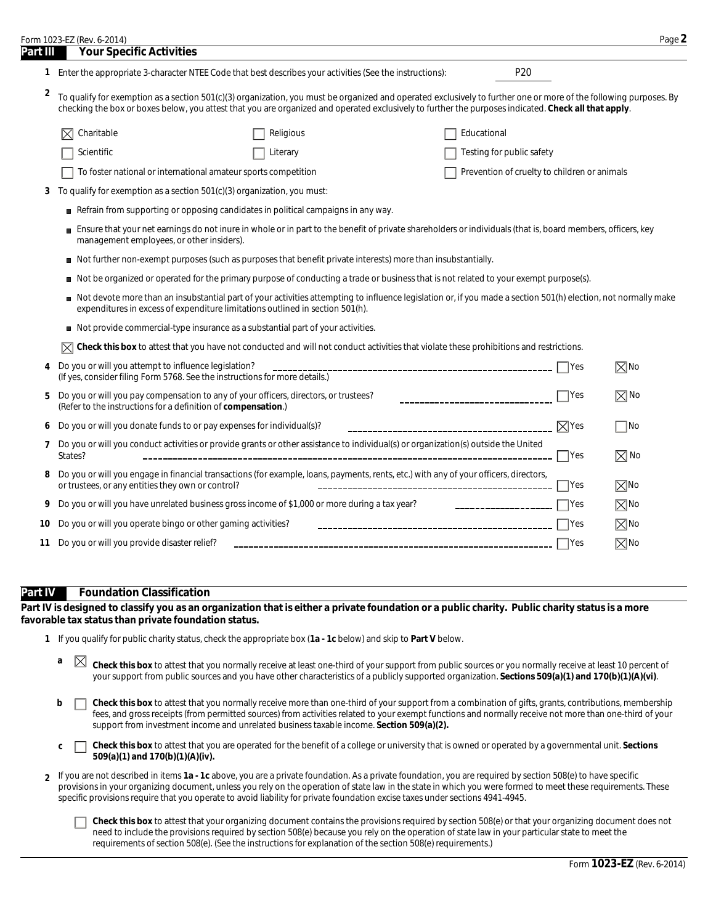|          | Form 1023-EZ (Rev. 6-2014)                                                                                                                                                                                                                                                                                                |                                                                                                                                        |                                              |                | Page 2         |  |  |  |
|----------|---------------------------------------------------------------------------------------------------------------------------------------------------------------------------------------------------------------------------------------------------------------------------------------------------------------------------|----------------------------------------------------------------------------------------------------------------------------------------|----------------------------------------------|----------------|----------------|--|--|--|
| Part III | <b>Your Specific Activities</b><br>1 Enter the appropriate 3-character NTEE Code that best describes your activities (See the instructions):                                                                                                                                                                              |                                                                                                                                        | P <sub>20</sub>                              |                |                |  |  |  |
|          |                                                                                                                                                                                                                                                                                                                           |                                                                                                                                        |                                              |                |                |  |  |  |
| 2        | To qualify for exemption as a section 501(c)(3) organization, you must be organized and operated exclusively to further one or more of the following purposes. By<br>checking the box or boxes below, you attest that you are organized and operated exclusively to further the purposes indicated. Check all that apply. |                                                                                                                                        |                                              |                |                |  |  |  |
|          | Charitable                                                                                                                                                                                                                                                                                                                | Religious                                                                                                                              | Educational                                  |                |                |  |  |  |
|          | Scientific                                                                                                                                                                                                                                                                                                                | Literary                                                                                                                               | Testing for public safety                    |                |                |  |  |  |
|          | To foster national or international amateur sports competition                                                                                                                                                                                                                                                            |                                                                                                                                        | Prevention of cruelty to children or animals |                |                |  |  |  |
| 3        | To qualify for exemption as a section 501(c)(3) organization, you must:                                                                                                                                                                                                                                                   |                                                                                                                                        |                                              |                |                |  |  |  |
|          | Refrain from supporting or opposing candidates in political campaigns in any way.                                                                                                                                                                                                                                         |                                                                                                                                        |                                              |                |                |  |  |  |
|          | Ensure that your net earnings do not inure in whole or in part to the benefit of private shareholders or individuals (that is, board members, officers, key<br>management employees, or other insiders).                                                                                                                  |                                                                                                                                        |                                              |                |                |  |  |  |
|          | Not further non-exempt purposes (such as purposes that benefit private interests) more than insubstantially.                                                                                                                                                                                                              |                                                                                                                                        |                                              |                |                |  |  |  |
|          | Not be organized or operated for the primary purpose of conducting a trade or business that is not related to your exempt purpose(s).                                                                                                                                                                                     |                                                                                                                                        |                                              |                |                |  |  |  |
|          | Not devote more than an insubstantial part of your activities attempting to influence legislation or, if you made a section 501(h) election, not normally make<br>expenditures in excess of expenditure limitations outlined in section 501(h).                                                                           |                                                                                                                                        |                                              |                |                |  |  |  |
|          | Not provide commercial-type insurance as a substantial part of your activities.                                                                                                                                                                                                                                           |                                                                                                                                        |                                              |                |                |  |  |  |
|          |                                                                                                                                                                                                                                                                                                                           | Check this box to attest that you have not conducted and will not conduct activities that violate these prohibitions and restrictions. |                                              |                |                |  |  |  |
| 4        | Do you or will you attempt to influence legislation?<br>(If yes, consider filing Form 5768. See the instructions for more details.)                                                                                                                                                                                       |                                                                                                                                        |                                              | $\Box$ Yes     | $\boxtimes$ No |  |  |  |
| 5        | Do you or will you pay compensation to any of your officers, directors, or trustees?<br>________________________________<br>(Refer to the instructions for a definition of compensation.)                                                                                                                                 |                                                                                                                                        |                                              |                | $\boxtimes$ No |  |  |  |
| 6        | Do you or will you donate funds to or pay expenses for individual(s)?                                                                                                                                                                                                                                                     |                                                                                                                                        |                                              |                | $\Box$ No      |  |  |  |
| 7        | Do you or will you conduct activities or provide grants or other assistance to individual(s) or organization(s) outside the United<br>States?                                                                                                                                                                             |                                                                                                                                        |                                              |                | $\boxtimes$ No |  |  |  |
| 8        | Do you or will you engage in financial transactions (for example, loans, payments, rents, etc.) with any of your officers, directors,<br>or trustees, or any entities they own or control?                                                                                                                                |                                                                                                                                        |                                              |                | $\boxtimes$ No |  |  |  |
| 9        | Do you or will you have unrelated business gross income of \$1,000 or more during a tax year?                                                                                                                                                                                                                             |                                                                                                                                        | ______________________                       | $\mathsf{Yes}$ | $\boxtimes$ No |  |  |  |
| 10       | Do you or will you operate bingo or other gaming activities?                                                                                                                                                                                                                                                              |                                                                                                                                        |                                              | <b>Yes</b>     | $\boxtimes$ No |  |  |  |
| 11       | Do you or will you provide disaster relief?                                                                                                                                                                                                                                                                               |                                                                                                                                        |                                              | <b>Pres</b>    | $\boxtimes$ No |  |  |  |
|          |                                                                                                                                                                                                                                                                                                                           |                                                                                                                                        |                                              |                |                |  |  |  |

#### **Part IV Foundation Classification**

**Part IV is designed to classify you as an organization that is either a private foundation or a public charity. Public charity status is a more favorable tax status than private foundation status.**

- **1** If you qualify for public charity status, check the appropriate box (**1a 1c** below) and skip to **Part V** below.
	- **a**  $\boxtimes$  **Check this box** to attest that you normally receive at least one-third of your support from public sources or you normally receive at least 10 percent of your support from public sources and you have other characteristics of a publicly supported organization. **Sections 509(a)(1) and 170(b)(1)(A)(vi)**.
	- **b Check this box** to attest that you normally receive more than one-third of your support from a combination of gifts, grants, contributions, membership fees, and gross receipts (from permitted sources) from activities related to your exempt functions and normally receive not more than one-third of your support from investment income and unrelated business taxable income. **Section 509(a)(2).**
	- **Check this box** to attest that you are operated for the benefit of a college or university that is owned or operated by a governmental unit. **Sections c**  $\Box$ **509(a)(1) and 170(b)(1)(A)(iv).**
- If you are not described in items **1a 1c** above, you are a private foundation. As a private foundation, you are required by section 508(e) to have specific **2** provisions in your organizing document, unless you rely on the operation of state law in the state in which you were formed to meet these requirements. These specific provisions require that you operate to avoid liability for private foundation excise taxes under sections 4941-4945.

**Check this box** to attest that your organizing document contains the provisions required by section 508(e) or that your organizing document does not need to include the provisions required by section 508(e) because you rely on the operation of state law in your particular state to meet the requirements of section 508(e). (See the instructions for explanation of the section 508(e) requirements.)